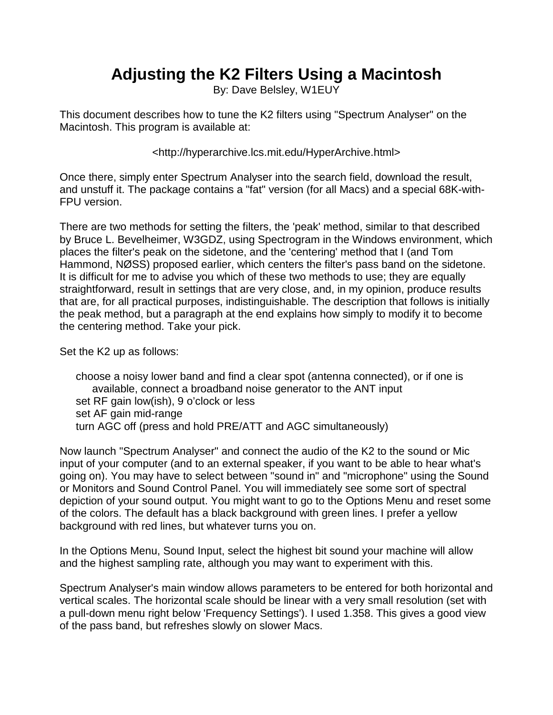## **Adjusting the K2 Filters Using a Macintosh**

By: Dave Belsley, W1EUY

This document describes how to tune the K2 filters using "Spectrum Analyser" on the Macintosh. This program is available at:

<http://hyperarchive.lcs.mit.edu/HyperArchive.html>

Once there, simply enter Spectrum Analyser into the search field, download the result, and unstuff it. The package contains a "fat" version (for all Macs) and a special 68K-with-FPU version.

There are two methods for setting the filters, the 'peak' method, similar to that described by Bruce L. Bevelheimer, W3GDZ, using Spectrogram in the Windows environment, which places the filter's peak on the sidetone, and the 'centering' method that I (and Tom Hammond, NØSS) proposed earlier, which centers the filter's pass band on the sidetone. It is difficult for me to advise you which of these two methods to use; they are equally straightforward, result in settings that are very close, and, in my opinion, produce results that are, for all practical purposes, indistinguishable. The description that follows is initially the peak method, but a paragraph at the end explains how simply to modify it to become the centering method. Take your pick.

Set the K2 up as follows:

choose a noisy lower band and find a clear spot (antenna connected), or if one is available, connect a broadband noise generator to the ANT input set RF gain low(ish), 9 o'clock or less set AF gain mid-range turn AGC off (press and hold PRE/ATT and AGC simultaneously)

Now launch "Spectrum Analyser" and connect the audio of the K2 to the sound or Mic input of your computer (and to an external speaker, if you want to be able to hear what's going on). You may have to select between "sound in" and "microphone" using the Sound or Monitors and Sound Control Panel. You will immediately see some sort of spectral depiction of your sound output. You might want to go to the Options Menu and reset some of the colors. The default has a black background with green lines. I prefer a yellow background with red lines, but whatever turns you on.

In the Options Menu, Sound Input, select the highest bit sound your machine will allow and the highest sampling rate, although you may want to experiment with this.

Spectrum Analyser's main window allows parameters to be entered for both horizontal and vertical scales. The horizontal scale should be linear with a very small resolution (set with a pull-down menu right below 'Frequency Settings'). I used 1.358. This gives a good view of the pass band, but refreshes slowly on slower Macs.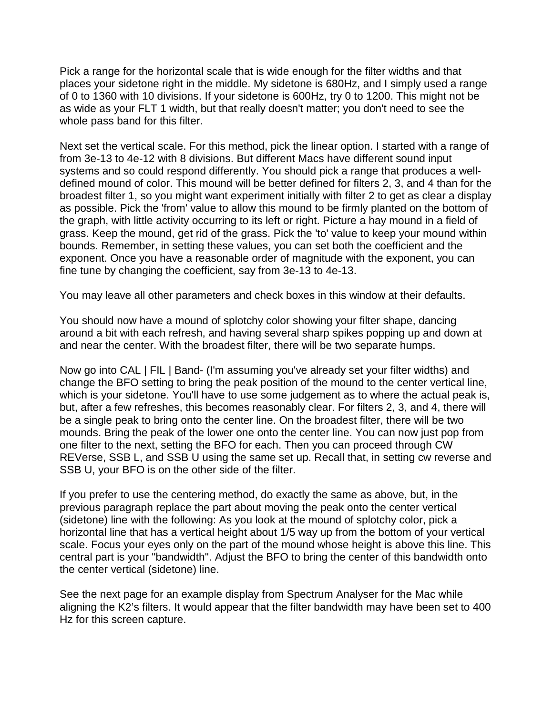Pick a range for the horizontal scale that is wide enough for the filter widths and that places your sidetone right in the middle. My sidetone is 680Hz, and I simply used a range of 0 to 1360 with 10 divisions. If your sidetone is 600Hz, try 0 to 1200. This might not be as wide as your FLT 1 width, but that really doesn't matter; you don't need to see the whole pass band for this filter.

Next set the vertical scale. For this method, pick the linear option. I started with a range of from 3e-13 to 4e-12 with 8 divisions. But different Macs have different sound input systems and so could respond differently. You should pick a range that produces a welldefined mound of color. This mound will be better defined for filters 2, 3, and 4 than for the broadest filter 1, so you might want experiment initially with filter 2 to get as clear a display as possible. Pick the 'from' value to allow this mound to be firmly planted on the bottom of the graph, with little activity occurring to its left or right. Picture a hay mound in a field of grass. Keep the mound, get rid of the grass. Pick the 'to' value to keep your mound within bounds. Remember, in setting these values, you can set both the coefficient and the exponent. Once you have a reasonable order of magnitude with the exponent, you can fine tune by changing the coefficient, say from 3e-13 to 4e-13.

You may leave all other parameters and check boxes in this window at their defaults.

You should now have a mound of splotchy color showing your filter shape, dancing around a bit with each refresh, and having several sharp spikes popping up and down at and near the center. With the broadest filter, there will be two separate humps.

Now go into CAL | FIL | Band- (I'm assuming you've already set your filter widths) and change the BFO setting to bring the peak position of the mound to the center vertical line, which is your sidetone. You'll have to use some judgement as to where the actual peak is, but, after a few refreshes, this becomes reasonably clear. For filters 2, 3, and 4, there will be a single peak to bring onto the center line. On the broadest filter, there will be two mounds. Bring the peak of the lower one onto the center line. You can now just pop from one filter to the next, setting the BFO for each. Then you can proceed through CW REVerse, SSB L, and SSB U using the same set up. Recall that, in setting cw reverse and SSB U, your BFO is on the other side of the filter.

If you prefer to use the centering method, do exactly the same as above, but, in the previous paragraph replace the part about moving the peak onto the center vertical (sidetone) line with the following: As you look at the mound of splotchy color, pick a horizontal line that has a vertical height about 1/5 way up from the bottom of your vertical scale. Focus your eyes only on the part of the mound whose height is above this line. This central part is your "bandwidth". Adjust the BFO to bring the center of this bandwidth onto the center vertical (sidetone) line.

See the next page for an example display from Spectrum Analyser for the Mac while aligning the K2's filters. It would appear that the filter bandwidth may have been set to 400 Hz for this screen capture.